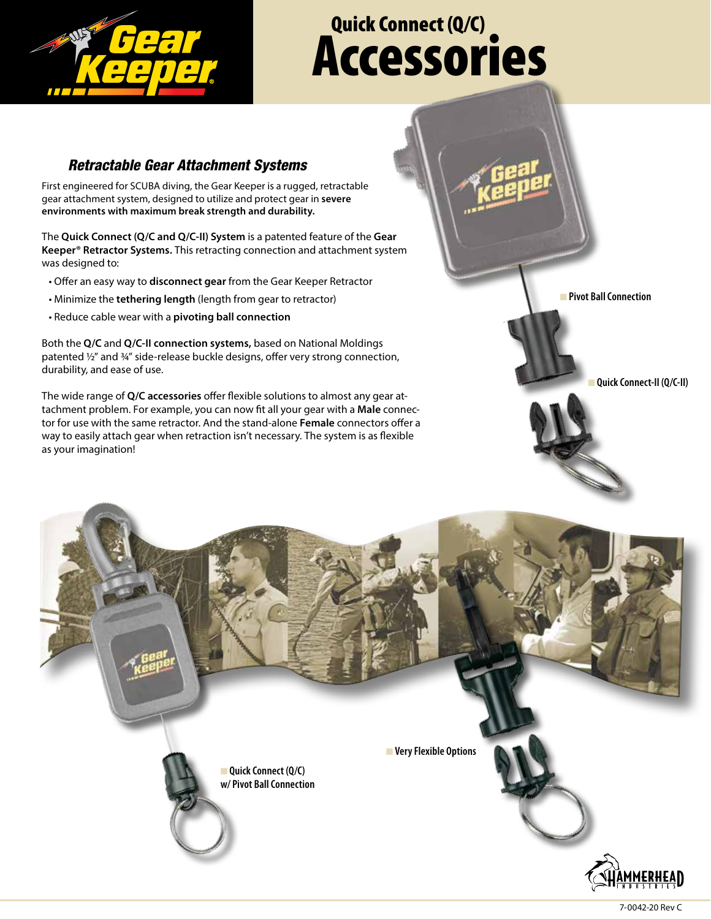

## Quick Connect (Q/C) Accessories

## *Retractable Gear Attachment Systems*

First engineered for SCUBA diving, the Gear Keeper is a rugged, retractable gear attachment system, designed to utilize and protect gear in **severe environments with maximum break strength and durability.** 

The **Quick Connect (Q/C and Q/C-II) System** is a patented feature of the **Gear Keeper® Retractor Systems.** This retracting connection and attachment system was designed to:

- Offer an easy way to **disconnect gear** from the Gear Keeper Retractor
- Minimize the **tethering length** (length from gear to retractor)
- Reduce cable wear with a **pivoting ball connection**

Both the **Q/C** and **Q/C-II connection systems,** based on National Moldings patented 1/2" and 3/4" side-release buckle designs, offer very strong connection, durability, and ease of use.

The wide range of **Q/C accessories** offer flexible solutions to almost any gear attachment problem. For example, you can now fit all your gear with a **Male** connector for use with the same retractor. And the stand-alone **Female** connectors offer a way to easily attach gear when retraction isn't necessary. The system is as flexible as your imagination!



n **Quick Connect-II (Q/C-II)**



7-0042-20 Rev C